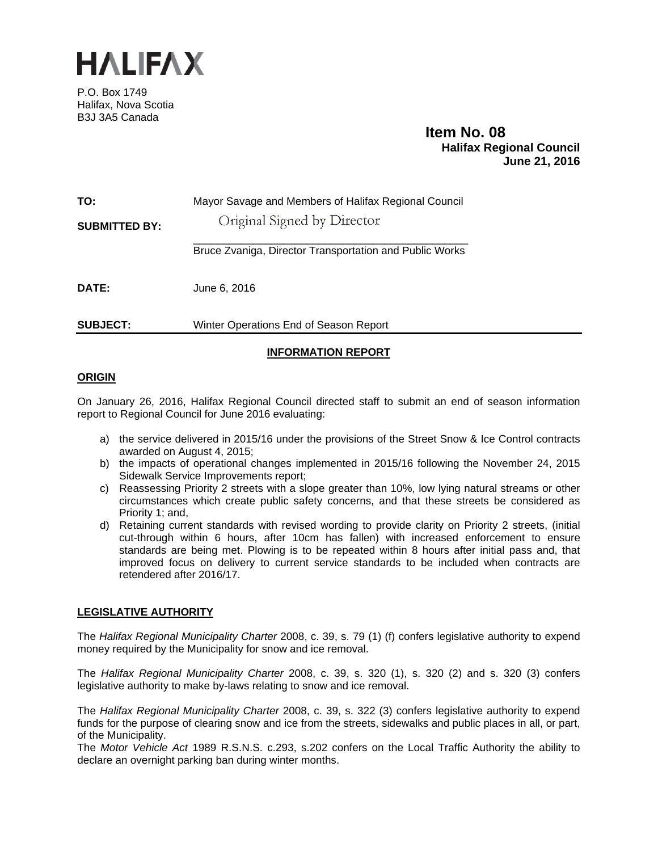

P.O. Box 1749 Halifax, Nova Scotia B3J 3A5 Canada

# **Item No. 08**<br>**Halifax Regional Council June 21, 2016**

| TO:<br><b>SUBMITTED BY:</b> | Mayor Savage and Members of Halifax Regional Council<br>Original Signed by Director |  |
|-----------------------------|-------------------------------------------------------------------------------------|--|
|                             | Bruce Zvaniga, Director Transportation and Public Works                             |  |
| <b>DATE:</b>                | June 6, 2016                                                                        |  |
| <b>SUBJECT:</b>             | Winter Operations End of Season Report                                              |  |

# **INFORMATION REPORT**

# **ORIGIN**

On January 26, 2016, Halifax Regional Council directed staff to submit an end of season information report to Regional Council for June 2016 evaluating:

- a) the service delivered in 2015/16 under the provisions of the Street Snow & Ice Control contracts awarded on August 4, 2015;
- b) the impacts of operational changes implemented in 2015/16 following the November 24, 2015 Sidewalk Service Improvements report;
- c) Reassessing Priority 2 streets with a slope greater than 10%, low lying natural streams or other circumstances which create public safety concerns, and that these streets be considered as Priority 1; and,
- d) Retaining current standards with revised wording to provide clarity on Priority 2 streets, (initial cut-through within 6 hours, after 10cm has fallen) with increased enforcement to ensure standards are being met. Plowing is to be repeated within 8 hours after initial pass and, that improved focus on delivery to current service standards to be included when contracts are retendered after 2016/17.

# **LEGISLATIVE AUTHORITY**

The *Halifax Regional Municipality Charter* 2008, c. 39, s. 79 (1) (f) confers legislative authority to expend money required by the Municipality for snow and ice removal.

The *Halifax Regional Municipality Charter* 2008, c. 39, s. 320 (1), s. 320 (2) and s. 320 (3) confers legislative authority to make by-laws relating to snow and ice removal.

The *Halifax Regional Municipality Charter* 2008, c. 39, s. 322 (3) confers legislative authority to expend funds for the purpose of clearing snow and ice from the streets, sidewalks and public places in all, or part, of the Municipality.

The *Motor Vehicle Act* 1989 R.S.N.S. c.293, s.202 confers on the Local Traffic Authority the ability to declare an overnight parking ban during winter months.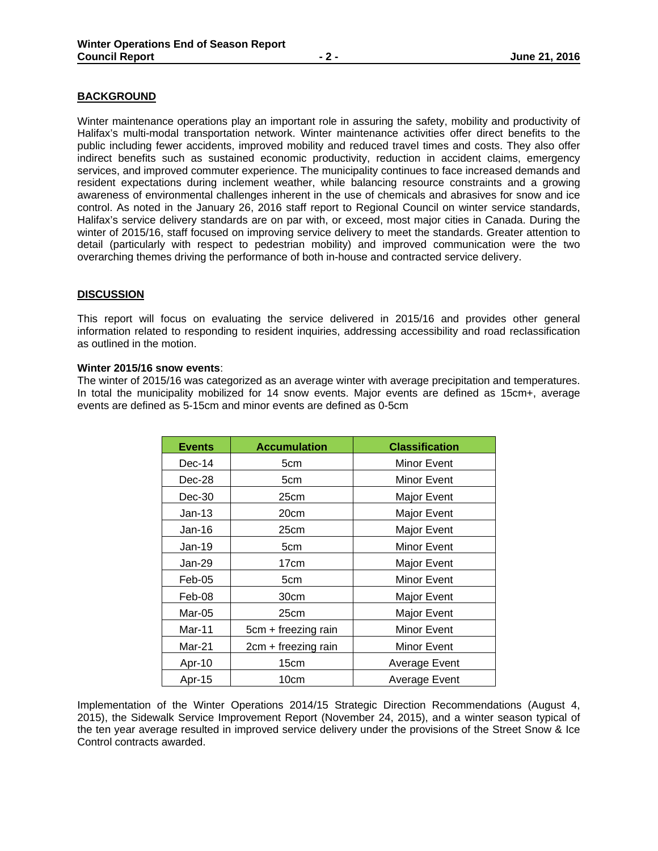## **BACKGROUND**

Winter maintenance operations play an important role in assuring the safety, mobility and productivity of Halifax's multi-modal transportation network. Winter maintenance activities offer direct benefits to the public including fewer accidents, improved mobility and reduced travel times and costs. They also offer indirect benefits such as sustained economic productivity, reduction in accident claims, emergency services, and improved commuter experience. The municipality continues to face increased demands and resident expectations during inclement weather, while balancing resource constraints and a growing awareness of environmental challenges inherent in the use of chemicals and abrasives for snow and ice control. As noted in the January 26, 2016 staff report to Regional Council on winter service standards, Halifax's service delivery standards are on par with, or exceed, most major cities in Canada. During the winter of 2015/16, staff focused on improving service delivery to meet the standards. Greater attention to detail (particularly with respect to pedestrian mobility) and improved communication were the two overarching themes driving the performance of both in-house and contracted service delivery.

## **DISCUSSION**

This report will focus on evaluating the service delivered in 2015/16 and provides other general information related to responding to resident inquiries, addressing accessibility and road reclassification as outlined in the motion.

#### **Winter 2015/16 snow events**:

The winter of 2015/16 was categorized as an average winter with average precipitation and temperatures. In total the municipality mobilized for 14 snow events. Major events are defined as 15cm+, average events are defined as 5-15cm and minor events are defined as 0-5cm

| <b>Events</b> | <b>Accumulation</b> | <b>Classification</b> |
|---------------|---------------------|-----------------------|
| $Dec-14$      | 5cm                 | Minor Event           |
| Dec-28        | 5cm                 | Minor Event           |
| $Dec-30$      | 25cm                | Major Event           |
| $Jan-13$      | 20cm                | Major Event           |
| Jan-16        | 25cm                | Major Event           |
| Jan-19        | 5cm                 | <b>Minor Event</b>    |
| $Jan-29$      | 17cm                | Major Event           |
| $Feb-05$      | 5cm                 | <b>Minor Event</b>    |
| Feb-08        | 30cm                | Major Event           |
| Mar-05        | 25cm                | Major Event           |
| Mar-11        | 5cm + freezing rain | <b>Minor Event</b>    |
| Mar-21        | 2cm + freezing rain | <b>Minor Event</b>    |
| Apr-10        | 15cm                | Average Event         |
| Apr-15        | 10cm                | Average Event         |

Implementation of the Winter Operations 2014/15 Strategic Direction Recommendations (August 4, 2015), the Sidewalk Service Improvement Report (November 24, 2015), and a winter season typical of the ten year average resulted in improved service delivery under the provisions of the Street Snow & Ice Control contracts awarded.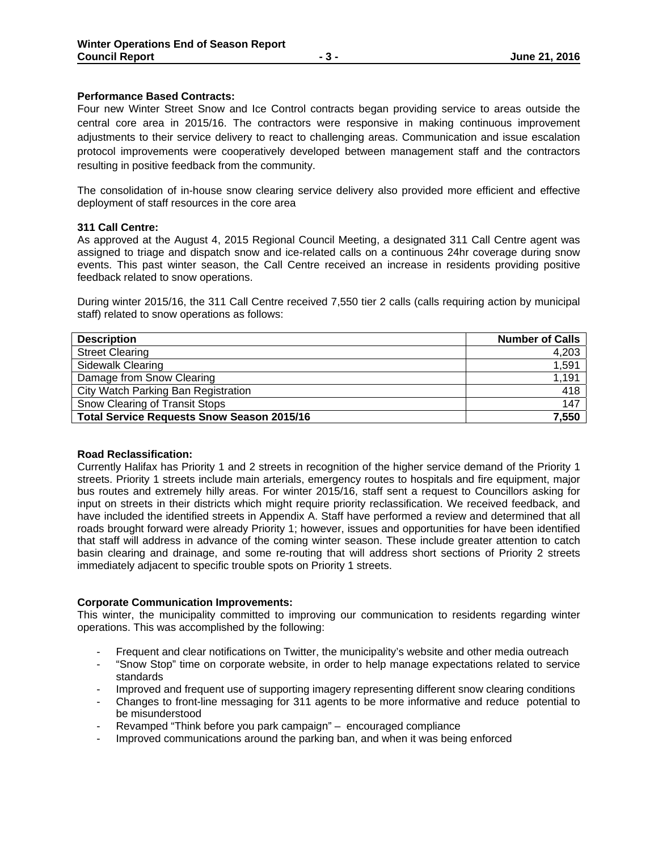## **Performance Based Contracts:**

Four new Winter Street Snow and Ice Control contracts began providing service to areas outside the central core area in 2015/16. The contractors were responsive in making continuous improvement adjustments to their service delivery to react to challenging areas. Communication and issue escalation protocol improvements were cooperatively developed between management staff and the contractors resulting in positive feedback from the community.

The consolidation of in-house snow clearing service delivery also provided more efficient and effective deployment of staff resources in the core area

## **311 Call Centre:**

As approved at the August 4, 2015 Regional Council Meeting, a designated 311 Call Centre agent was assigned to triage and dispatch snow and ice-related calls on a continuous 24hr coverage during snow events. This past winter season, the Call Centre received an increase in residents providing positive feedback related to snow operations.

During winter 2015/16, the 311 Call Centre received 7,550 tier 2 calls (calls requiring action by municipal staff) related to snow operations as follows:

| <b>Description</b>                                | <b>Number of Calls</b> |
|---------------------------------------------------|------------------------|
| <b>Street Clearing</b>                            | 4,203                  |
| <b>Sidewalk Clearing</b>                          | 1,591                  |
| Damage from Snow Clearing                         | 1,191                  |
| City Watch Parking Ban Registration               | 418                    |
| Snow Clearing of Transit Stops                    | 147                    |
| <b>Total Service Requests Snow Season 2015/16</b> | 7,550                  |

## **Road Reclassification:**

Currently Halifax has Priority 1 and 2 streets in recognition of the higher service demand of the Priority 1 streets. Priority 1 streets include main arterials, emergency routes to hospitals and fire equipment, major bus routes and extremely hilly areas. For winter 2015/16, staff sent a request to Councillors asking for input on streets in their districts which might require priority reclassification. We received feedback, and have included the identified streets in Appendix A. Staff have performed a review and determined that all roads brought forward were already Priority 1; however, issues and opportunities for have been identified that staff will address in advance of the coming winter season. These include greater attention to catch basin clearing and drainage, and some re-routing that will address short sections of Priority 2 streets immediately adjacent to specific trouble spots on Priority 1 streets.

## **Corporate Communication Improvements:**

This winter, the municipality committed to improving our communication to residents regarding winter operations. This was accomplished by the following:

- Frequent and clear notifications on Twitter, the municipality's website and other media outreach
- "Snow Stop" time on corporate website, in order to help manage expectations related to service standards
- Improved and frequent use of supporting imagery representing different snow clearing conditions
- Changes to front-line messaging for 311 agents to be more informative and reduce potential to be misunderstood
- Revamped "Think before you park campaign" encouraged compliance
- Improved communications around the parking ban, and when it was being enforced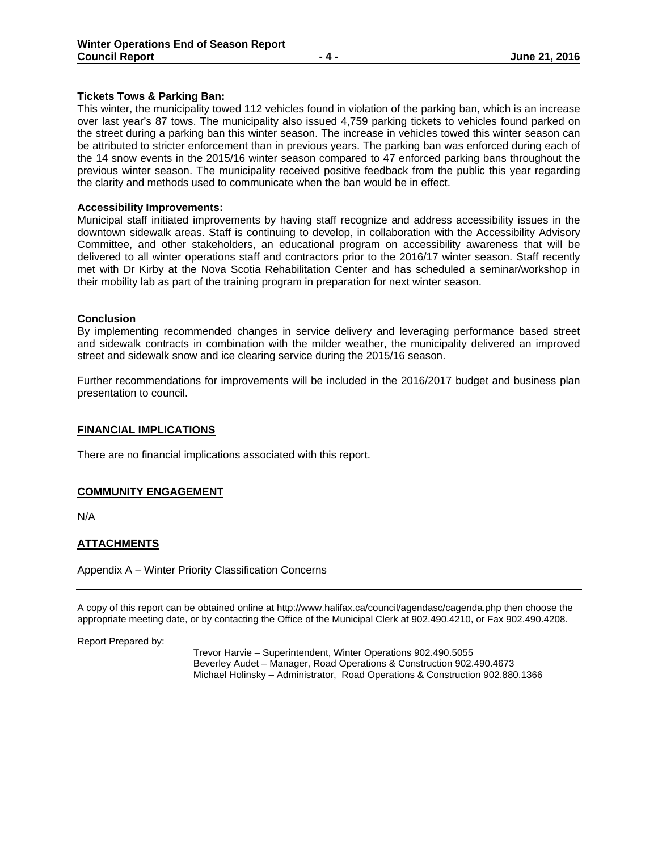# **Tickets Tows & Parking Ban:**

This winter, the municipality towed 112 vehicles found in violation of the parking ban, which is an increase over last year's 87 tows. The municipality also issued 4,759 parking tickets to vehicles found parked on the street during a parking ban this winter season. The increase in vehicles towed this winter season can be attributed to stricter enforcement than in previous years. The parking ban was enforced during each of the 14 snow events in the 2015/16 winter season compared to 47 enforced parking bans throughout the previous winter season. The municipality received positive feedback from the public this year regarding the clarity and methods used to communicate when the ban would be in effect.

#### **Accessibility Improvements:**

Municipal staff initiated improvements by having staff recognize and address accessibility issues in the downtown sidewalk areas. Staff is continuing to develop, in collaboration with the Accessibility Advisory Committee, and other stakeholders, an educational program on accessibility awareness that will be delivered to all winter operations staff and contractors prior to the 2016/17 winter season. Staff recently met with Dr Kirby at the Nova Scotia Rehabilitation Center and has scheduled a seminar/workshop in their mobility lab as part of the training program in preparation for next winter season.

#### **Conclusion**

By implementing recommended changes in service delivery and leveraging performance based street and sidewalk contracts in combination with the milder weather, the municipality delivered an improved street and sidewalk snow and ice clearing service during the 2015/16 season.

Further recommendations for improvements will be included in the 2016/2017 budget and business plan presentation to council.

#### **FINANCIAL IMPLICATIONS**

There are no financial implications associated with this report.

## **COMMUNITY ENGAGEMENT**

N/A

## **ATTACHMENTS**

Appendix A – Winter Priority Classification Concerns

A copy of this report can be obtained online at http://www.halifax.ca/council/agendasc/cagenda.php then choose the appropriate meeting date, or by contacting the Office of the Municipal Clerk at 902.490.4210, or Fax 902.490.4208.

Report Prepared by:

 Trevor Harvie – Superintendent, Winter Operations 902.490.5055 Beverley Audet – Manager, Road Operations & Construction 902.490.4673 Michael Holinsky – Administrator, Road Operations & Construction 902.880.1366